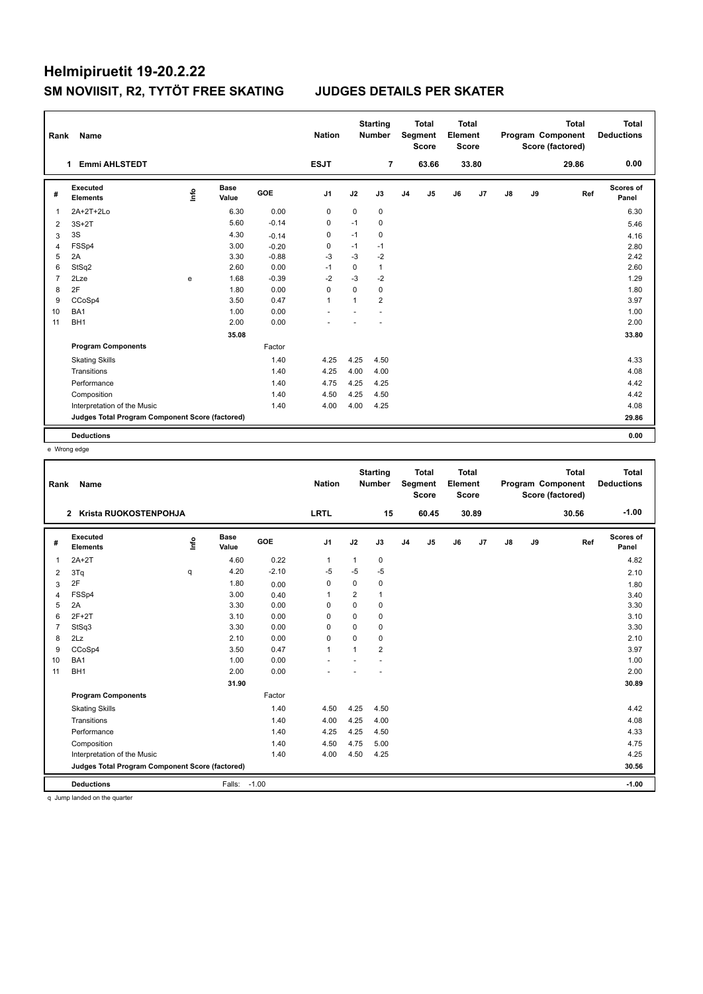| Rank           | Name                                            |      |                      |            | <b>Nation</b>  |              | <b>Starting</b><br><b>Number</b> |                | <b>Total</b><br>Segment<br><b>Score</b> | <b>Total</b><br>Element<br><b>Score</b> |                |    |    | <b>Total</b><br>Program Component<br>Score (factored) | Total<br><b>Deductions</b> |
|----------------|-------------------------------------------------|------|----------------------|------------|----------------|--------------|----------------------------------|----------------|-----------------------------------------|-----------------------------------------|----------------|----|----|-------------------------------------------------------|----------------------------|
|                | <b>Emmi AHLSTEDT</b><br>1                       |      |                      |            | <b>ESJT</b>    |              | $\overline{7}$                   |                | 63.66                                   |                                         | 33.80          |    |    | 29.86                                                 | 0.00                       |
| #              | <b>Executed</b><br><b>Elements</b>              | lnfo | <b>Base</b><br>Value | <b>GOE</b> | J1             | J2           | J3                               | J <sub>4</sub> | J <sub>5</sub>                          | J6                                      | J <sub>7</sub> | J8 | J9 | Ref                                                   | Scores of<br>Panel         |
| 1              | 2A+2T+2Lo                                       |      | 6.30                 | 0.00       | $\mathbf 0$    | $\mathbf 0$  | $\mathbf 0$                      |                |                                         |                                         |                |    |    |                                                       | 6.30                       |
| 2              | $3S+2T$                                         |      | 5.60                 | $-0.14$    | 0              | $-1$         | 0                                |                |                                         |                                         |                |    |    |                                                       | 5.46                       |
| 3              | 3S                                              |      | 4.30                 | $-0.14$    | 0              | $-1$         | 0                                |                |                                         |                                         |                |    |    |                                                       | 4.16                       |
| 4              | FSSp4                                           |      | 3.00                 | $-0.20$    | 0              | $-1$         | $-1$                             |                |                                         |                                         |                |    |    |                                                       | 2.80                       |
| 5              | 2A                                              |      | 3.30                 | $-0.88$    | $-3$           | $-3$         | $-2$                             |                |                                         |                                         |                |    |    |                                                       | 2.42                       |
| 6              | StSq2                                           |      | 2.60                 | 0.00       | $-1$           | $\mathbf 0$  | $\mathbf{1}$                     |                |                                         |                                         |                |    |    |                                                       | 2.60                       |
| $\overline{7}$ | 2Lze                                            | e    | 1.68                 | $-0.39$    | $-2$           | $-3$         | $-2$                             |                |                                         |                                         |                |    |    |                                                       | 1.29                       |
| 8              | 2F                                              |      | 1.80                 | 0.00       | 0              | 0            | 0                                |                |                                         |                                         |                |    |    |                                                       | 1.80                       |
| 9              | CCoSp4                                          |      | 3.50                 | 0.47       | $\overline{1}$ | $\mathbf{1}$ | $\overline{2}$                   |                |                                         |                                         |                |    |    |                                                       | 3.97                       |
| 10             | BA1                                             |      | 1.00                 | 0.00       |                |              |                                  |                |                                         |                                         |                |    |    |                                                       | 1.00                       |
| 11             | BH <sub>1</sub>                                 |      | 2.00                 | 0.00       |                |              |                                  |                |                                         |                                         |                |    |    |                                                       | 2.00                       |
|                |                                                 |      | 35.08                |            |                |              |                                  |                |                                         |                                         |                |    |    |                                                       | 33.80                      |
|                | <b>Program Components</b>                       |      |                      | Factor     |                |              |                                  |                |                                         |                                         |                |    |    |                                                       |                            |
|                | <b>Skating Skills</b>                           |      |                      | 1.40       | 4.25           | 4.25         | 4.50                             |                |                                         |                                         |                |    |    |                                                       | 4.33                       |
|                | Transitions                                     |      |                      | 1.40       | 4.25           | 4.00         | 4.00                             |                |                                         |                                         |                |    |    |                                                       | 4.08                       |
|                | Performance                                     |      |                      | 1.40       | 4.75           | 4.25         | 4.25                             |                |                                         |                                         |                |    |    |                                                       | 4.42                       |
|                | Composition                                     |      |                      | 1.40       | 4.50           | 4.25         | 4.50                             |                |                                         |                                         |                |    |    |                                                       | 4.42                       |
|                | Interpretation of the Music                     |      |                      | 1.40       | 4.00           | 4.00         | 4.25                             |                |                                         |                                         |                |    |    |                                                       | 4.08                       |
|                | Judges Total Program Component Score (factored) |      |                      |            |                |              |                                  |                |                                         |                                         |                |    |    |                                                       | 29.86                      |
|                | <b>Deductions</b>                               |      |                      |            |                |              |                                  |                |                                         |                                         |                |    |    |                                                       | 0.00                       |

e Wrong edge

| Rank           | <b>Name</b>                                     |    |                      |         | <b>Nation</b>  |                | <b>Starting</b><br><b>Number</b> |                | <b>Total</b><br>Segment<br><b>Score</b> | Total<br>Element<br><b>Score</b> |                |               |    | <b>Total</b><br><b>Program Component</b><br>Score (factored) | Total<br><b>Deductions</b> |
|----------------|-------------------------------------------------|----|----------------------|---------|----------------|----------------|----------------------------------|----------------|-----------------------------------------|----------------------------------|----------------|---------------|----|--------------------------------------------------------------|----------------------------|
|                | 2 Krista RUOKOSTENPOHJA                         |    |                      |         | <b>LRTL</b>    |                | 15                               |                | 60.45                                   |                                  | 30.89          |               |    | 30.56                                                        | $-1.00$                    |
| #              | Executed<br><b>Elements</b>                     | ۴ů | <b>Base</b><br>Value | GOE     | J <sub>1</sub> | J2             | J3                               | J <sub>4</sub> | J5                                      | J6                               | J <sub>7</sub> | $\mathsf{J}8$ | J9 | Ref                                                          | Scores of<br>Panel         |
| 1              | $2A+2T$                                         |    | 4.60                 | 0.22    | 1              | 1              | $\mathbf 0$                      |                |                                         |                                  |                |               |    |                                                              | 4.82                       |
| 2              | 3Tq                                             | q  | 4.20                 | $-2.10$ | $-5$           | $-5$           | $-5$                             |                |                                         |                                  |                |               |    |                                                              | 2.10                       |
| 3              | 2F                                              |    | 1.80                 | 0.00    | $\Omega$       | $\Omega$       | 0                                |                |                                         |                                  |                |               |    |                                                              | 1.80                       |
| 4              | FSSp4                                           |    | 3.00                 | 0.40    | $\mathbf{1}$   | 2              | 1                                |                |                                         |                                  |                |               |    |                                                              | 3.40                       |
| 5              | 2A                                              |    | 3.30                 | 0.00    | $\Omega$       | $\Omega$       | 0                                |                |                                         |                                  |                |               |    |                                                              | 3.30                       |
| 6              | $2F+2T$                                         |    | 3.10                 | 0.00    | $\Omega$       | $\Omega$       | 0                                |                |                                         |                                  |                |               |    |                                                              | 3.10                       |
| $\overline{7}$ | StSq3                                           |    | 3.30                 | 0.00    | $\Omega$       | $\Omega$       | $\Omega$                         |                |                                         |                                  |                |               |    |                                                              | 3.30                       |
| 8              | 2Lz                                             |    | 2.10                 | 0.00    | 0              | $\Omega$       | 0                                |                |                                         |                                  |                |               |    |                                                              | 2.10                       |
| 9              | CCoSp4                                          |    | 3.50                 | 0.47    | $\mathbf{1}$   | $\overline{1}$ | $\overline{2}$                   |                |                                         |                                  |                |               |    |                                                              | 3.97                       |
| 10             | BA1                                             |    | 1.00                 | 0.00    |                |                |                                  |                |                                         |                                  |                |               |    |                                                              | 1.00                       |
| 11             | BH <sub>1</sub>                                 |    | 2.00                 | 0.00    |                |                |                                  |                |                                         |                                  |                |               |    |                                                              | 2.00                       |
|                |                                                 |    | 31.90                |         |                |                |                                  |                |                                         |                                  |                |               |    |                                                              | 30.89                      |
|                | <b>Program Components</b>                       |    |                      | Factor  |                |                |                                  |                |                                         |                                  |                |               |    |                                                              |                            |
|                | <b>Skating Skills</b>                           |    |                      | 1.40    | 4.50           | 4.25           | 4.50                             |                |                                         |                                  |                |               |    |                                                              | 4.42                       |
|                | Transitions                                     |    |                      | 1.40    | 4.00           | 4.25           | 4.00                             |                |                                         |                                  |                |               |    |                                                              | 4.08                       |
|                | Performance                                     |    |                      | 1.40    | 4.25           | 4.25           | 4.50                             |                |                                         |                                  |                |               |    |                                                              | 4.33                       |
|                | Composition                                     |    |                      | 1.40    | 4.50           | 4.75           | 5.00                             |                |                                         |                                  |                |               |    |                                                              | 4.75                       |
|                | Interpretation of the Music                     |    |                      | 1.40    | 4.00           | 4.50           | 4.25                             |                |                                         |                                  |                |               |    |                                                              | 4.25                       |
|                | Judges Total Program Component Score (factored) |    |                      |         |                |                |                                  |                |                                         |                                  |                |               |    |                                                              | 30.56                      |
|                | <b>Deductions</b>                               |    | Falls:               | $-1.00$ |                |                |                                  |                |                                         |                                  |                |               |    |                                                              | $-1.00$                    |

q Jump landed on the quarter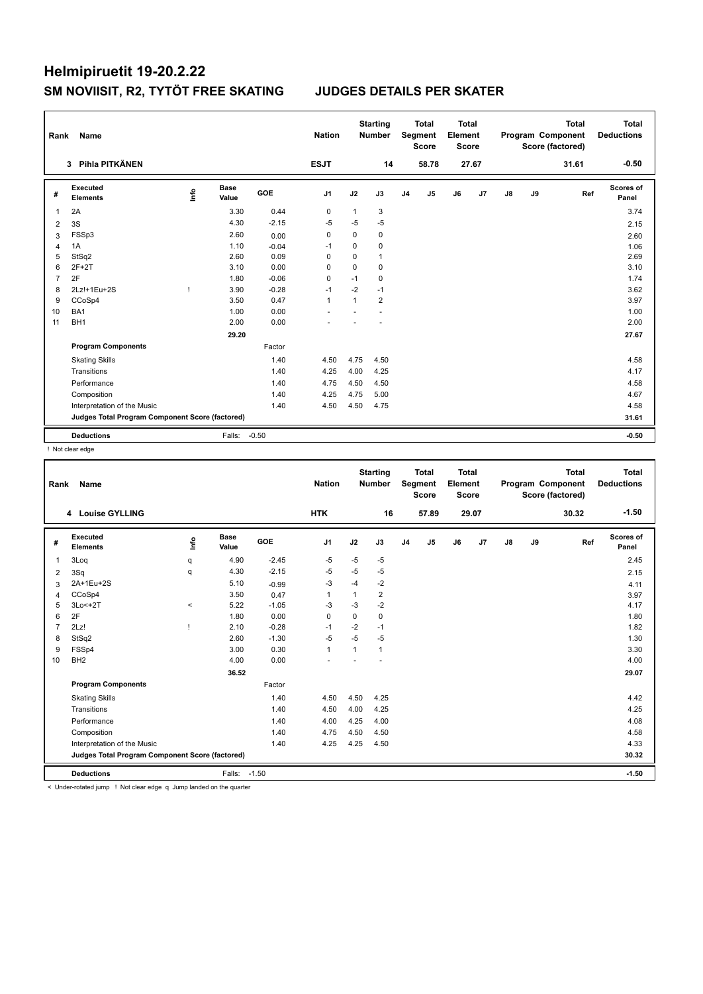| Rank           | Name                                            |      |                      |         | <b>Nation</b>  |              | <b>Starting</b><br><b>Number</b> |                | <b>Total</b><br>Segment<br><b>Score</b> | <b>Total</b><br>Element<br><b>Score</b> |       |    |    | <b>Total</b><br>Program Component<br>Score (factored) | <b>Total</b><br><b>Deductions</b> |
|----------------|-------------------------------------------------|------|----------------------|---------|----------------|--------------|----------------------------------|----------------|-----------------------------------------|-----------------------------------------|-------|----|----|-------------------------------------------------------|-----------------------------------|
|                | Pihla PITKÄNEN<br>3 <sup>1</sup>                |      |                      |         | <b>ESJT</b>    |              | 14                               |                | 58.78                                   |                                         | 27.67 |    |    | 31.61                                                 | $-0.50$                           |
| #              | <b>Executed</b><br><b>Elements</b>              | lnfo | <b>Base</b><br>Value | GOE     | J <sub>1</sub> | J2           | J3                               | J <sub>4</sub> | J <sub>5</sub>                          | J6                                      | J7    | J8 | J9 | Ref                                                   | Scores of<br>Panel                |
| 1              | 2A                                              |      | 3.30                 | 0.44    | 0              | $\mathbf{1}$ | 3                                |                |                                         |                                         |       |    |    |                                                       | 3.74                              |
| 2              | 3S                                              |      | 4.30                 | $-2.15$ | $-5$           | $-5$         | $-5$                             |                |                                         |                                         |       |    |    |                                                       | 2.15                              |
| 3              | FSSp3                                           |      | 2.60                 | 0.00    | $\mathbf 0$    | $\mathbf 0$  | 0                                |                |                                         |                                         |       |    |    |                                                       | 2.60                              |
| $\overline{4}$ | 1A                                              |      | 1.10                 | $-0.04$ | $-1$           | $\mathbf 0$  | 0                                |                |                                         |                                         |       |    |    |                                                       | 1.06                              |
| 5              | StSq2                                           |      | 2.60                 | 0.09    | $\Omega$       | $\Omega$     | $\mathbf{1}$                     |                |                                         |                                         |       |    |    |                                                       | 2.69                              |
| 6              | $2F+2T$                                         |      | 3.10                 | 0.00    | $\Omega$       | $\mathbf 0$  | 0                                |                |                                         |                                         |       |    |    |                                                       | 3.10                              |
| $\overline{7}$ | 2F                                              |      | 1.80                 | $-0.06$ | 0              | $-1$         | 0                                |                |                                         |                                         |       |    |    |                                                       | 1.74                              |
| 8              | 2Lz!+1Eu+2S                                     | ı    | 3.90                 | $-0.28$ | $-1$           | $-2$         | $-1$                             |                |                                         |                                         |       |    |    |                                                       | 3.62                              |
| 9              | CCoSp4                                          |      | 3.50                 | 0.47    | $\mathbf{1}$   | $\mathbf{1}$ | $\overline{2}$                   |                |                                         |                                         |       |    |    |                                                       | 3.97                              |
| 10             | BA <sub>1</sub>                                 |      | 1.00                 | 0.00    |                |              |                                  |                |                                         |                                         |       |    |    |                                                       | 1.00                              |
| 11             | BH <sub>1</sub>                                 |      | 2.00                 | 0.00    |                |              |                                  |                |                                         |                                         |       |    |    |                                                       | 2.00                              |
|                |                                                 |      | 29.20                |         |                |              |                                  |                |                                         |                                         |       |    |    |                                                       | 27.67                             |
|                | <b>Program Components</b>                       |      |                      | Factor  |                |              |                                  |                |                                         |                                         |       |    |    |                                                       |                                   |
|                | <b>Skating Skills</b>                           |      |                      | 1.40    | 4.50           | 4.75         | 4.50                             |                |                                         |                                         |       |    |    |                                                       | 4.58                              |
|                | Transitions                                     |      |                      | 1.40    | 4.25           | 4.00         | 4.25                             |                |                                         |                                         |       |    |    |                                                       | 4.17                              |
|                | Performance                                     |      |                      | 1.40    | 4.75           | 4.50         | 4.50                             |                |                                         |                                         |       |    |    |                                                       | 4.58                              |
|                | Composition                                     |      |                      | 1.40    | 4.25           | 4.75         | 5.00                             |                |                                         |                                         |       |    |    |                                                       | 4.67                              |
|                | Interpretation of the Music                     |      |                      | 1.40    | 4.50           | 4.50         | 4.75                             |                |                                         |                                         |       |    |    |                                                       | 4.58                              |
|                | Judges Total Program Component Score (factored) |      |                      |         |                |              |                                  |                |                                         |                                         |       |    |    |                                                       | 31.61                             |
|                | <b>Deductions</b>                               |      | Falls:               | $-0.50$ |                |              |                                  |                |                                         |                                         |       |    |    |                                                       | $-0.50$                           |

! Not clear edge

| Rank | Name                                            |         |                      |         | <b>Nation</b>  |             | <b>Starting</b><br><b>Number</b> |                | <b>Total</b><br>Segment<br><b>Score</b> | Total<br>Element<br><b>Score</b> |       |    |    | <b>Total</b><br>Program Component<br>Score (factored) | <b>Total</b><br><b>Deductions</b> |
|------|-------------------------------------------------|---------|----------------------|---------|----------------|-------------|----------------------------------|----------------|-----------------------------------------|----------------------------------|-------|----|----|-------------------------------------------------------|-----------------------------------|
|      | 4 Louise GYLLING                                |         |                      |         | <b>HTK</b>     |             | 16                               |                | 57.89                                   |                                  | 29.07 |    |    | 30.32                                                 | $-1.50$                           |
| #    | Executed<br><b>Elements</b>                     | ۴       | <b>Base</b><br>Value | GOE     | J <sub>1</sub> | J2          | J3                               | J <sub>4</sub> | J <sub>5</sub>                          | J6                               | J7    | J8 | J9 | Ref                                                   | Scores of<br>Panel                |
| 1    | 3Log                                            | q       | 4.90                 | $-2.45$ | $-5$           | $-5$        | $-5$                             |                |                                         |                                  |       |    |    |                                                       | 2.45                              |
| 2    | 3Sq                                             | q       | 4.30                 | $-2.15$ | $-5$           | $-5$        | $-5$                             |                |                                         |                                  |       |    |    |                                                       | 2.15                              |
| 3    | 2A+1Eu+2S                                       |         | 5.10                 | $-0.99$ | $-3$           | $-4$        | $-2$                             |                |                                         |                                  |       |    |    |                                                       | 4.11                              |
| 4    | CCoSp4                                          |         | 3.50                 | 0.47    | 1              | 1           | $\overline{2}$                   |                |                                         |                                  |       |    |    |                                                       | 3.97                              |
| 5    | $3Lo < +2T$                                     | $\prec$ | 5.22                 | $-1.05$ | $-3$           | $-3$        | $-2$                             |                |                                         |                                  |       |    |    |                                                       | 4.17                              |
| 6    | 2F                                              |         | 1.80                 | 0.00    | $\mathbf 0$    | $\mathbf 0$ | $\mathbf 0$                      |                |                                         |                                  |       |    |    |                                                       | 1.80                              |
| 7    | 2Lz!                                            |         | 2.10                 | $-0.28$ | $-1$           | $-2$        | $-1$                             |                |                                         |                                  |       |    |    |                                                       | 1.82                              |
| 8    | StSq2                                           |         | 2.60                 | $-1.30$ | $-5$           | $-5$        | $-5$                             |                |                                         |                                  |       |    |    |                                                       | 1.30                              |
| 9    | FSSp4                                           |         | 3.00                 | 0.30    | $\mathbf{1}$   | 1           | 1                                |                |                                         |                                  |       |    |    |                                                       | 3.30                              |
| 10   | BH <sub>2</sub>                                 |         | 4.00                 | 0.00    |                |             |                                  |                |                                         |                                  |       |    |    |                                                       | 4.00                              |
|      |                                                 |         | 36.52                |         |                |             |                                  |                |                                         |                                  |       |    |    |                                                       | 29.07                             |
|      | <b>Program Components</b>                       |         |                      | Factor  |                |             |                                  |                |                                         |                                  |       |    |    |                                                       |                                   |
|      | <b>Skating Skills</b>                           |         |                      | 1.40    | 4.50           | 4.50        | 4.25                             |                |                                         |                                  |       |    |    |                                                       | 4.42                              |
|      | Transitions                                     |         |                      | 1.40    | 4.50           | 4.00        | 4.25                             |                |                                         |                                  |       |    |    |                                                       | 4.25                              |
|      | Performance                                     |         |                      | 1.40    | 4.00           | 4.25        | 4.00                             |                |                                         |                                  |       |    |    |                                                       | 4.08                              |
|      | Composition                                     |         |                      | 1.40    | 4.75           | 4.50        | 4.50                             |                |                                         |                                  |       |    |    |                                                       | 4.58                              |
|      | Interpretation of the Music                     |         |                      | 1.40    | 4.25           | 4.25        | 4.50                             |                |                                         |                                  |       |    |    |                                                       | 4.33                              |
|      | Judges Total Program Component Score (factored) |         |                      |         |                |             |                                  |                |                                         |                                  |       |    |    |                                                       | 30.32                             |
|      | <b>Deductions</b>                               |         | Falls: - 1.50        |         |                |             |                                  |                |                                         |                                  |       |    |    |                                                       | $-1.50$                           |

< Under-rotated jump ! Not clear edge q Jump landed on the quarter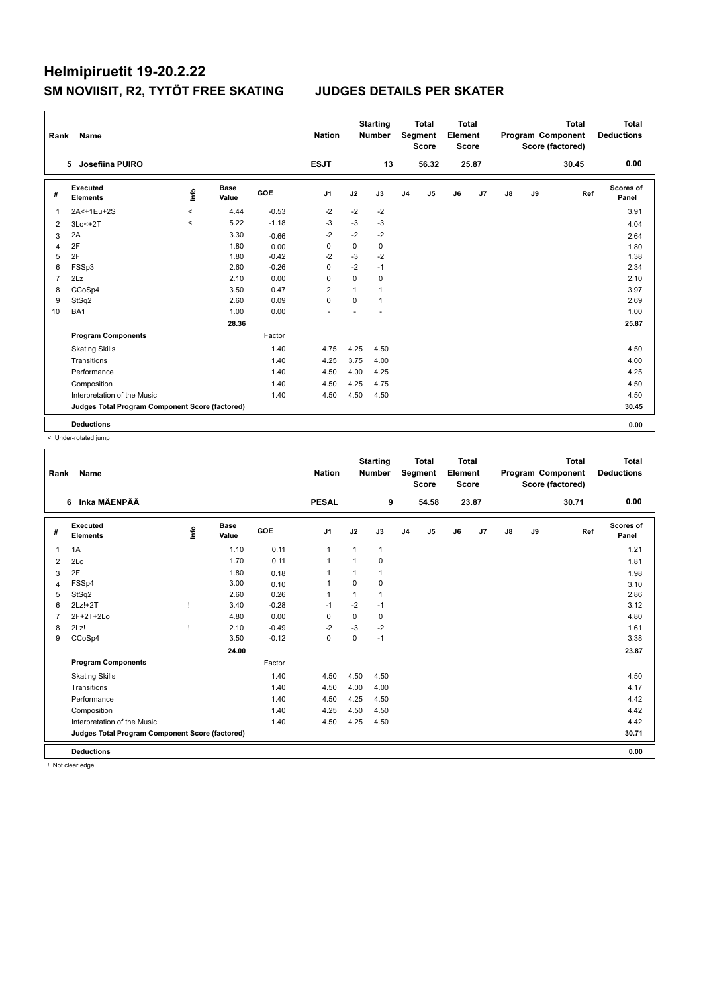| Rank           | Name                                            |         |                      |         | <b>Nation</b>  |              | <b>Starting</b><br><b>Number</b> |                | <b>Total</b><br>Segment<br><b>Score</b> | <b>Total</b><br>Element<br><b>Score</b> |       |    |    | <b>Total</b><br>Program Component<br>Score (factored) | <b>Total</b><br><b>Deductions</b> |
|----------------|-------------------------------------------------|---------|----------------------|---------|----------------|--------------|----------------------------------|----------------|-----------------------------------------|-----------------------------------------|-------|----|----|-------------------------------------------------------|-----------------------------------|
| 5              | Josefiina PUIRO                                 |         |                      |         | <b>ESJT</b>    |              | 13                               |                | 56.32                                   |                                         | 25.87 |    |    | 30.45                                                 | 0.00                              |
| #              | Executed<br><b>Elements</b>                     | ١nf٥    | <b>Base</b><br>Value | GOE     | J <sub>1</sub> | J2           | J3                               | J <sub>4</sub> | J5                                      | J6                                      | J7    | J8 | J9 | Ref                                                   | <b>Scores of</b><br>Panel         |
| 1              | 2A<+1Eu+2S                                      | $\prec$ | 4.44                 | $-0.53$ | $-2$           | $-2$         | $-2$                             |                |                                         |                                         |       |    |    |                                                       | 3.91                              |
| 2              | 3Lo<+2T                                         | $\prec$ | 5.22                 | $-1.18$ | $-3$           | $-3$         | $-3$                             |                |                                         |                                         |       |    |    |                                                       | 4.04                              |
| 3              | 2A                                              |         | 3.30                 | $-0.66$ | $-2$           | $-2$         | $-2$                             |                |                                         |                                         |       |    |    |                                                       | 2.64                              |
| $\overline{4}$ | 2F                                              |         | 1.80                 | 0.00    | $\Omega$       | $\Omega$     | $\mathbf 0$                      |                |                                         |                                         |       |    |    |                                                       | 1.80                              |
| 5              | 2F                                              |         | 1.80                 | $-0.42$ | $-2$           | $-3$         | $-2$                             |                |                                         |                                         |       |    |    |                                                       | 1.38                              |
| 6              | FSSp3                                           |         | 2.60                 | $-0.26$ | $\Omega$       | $-2$         | $-1$                             |                |                                         |                                         |       |    |    |                                                       | 2.34                              |
| 7              | 2Lz                                             |         | 2.10                 | 0.00    | $\mathbf 0$    | $\Omega$     | $\mathbf 0$                      |                |                                         |                                         |       |    |    |                                                       | 2.10                              |
| 8              | CCoSp4                                          |         | 3.50                 | 0.47    | $\overline{2}$ | $\mathbf{1}$ | $\mathbf{1}$                     |                |                                         |                                         |       |    |    |                                                       | 3.97                              |
| 9              | StSq2                                           |         | 2.60                 | 0.09    | $\mathbf 0$    | $\Omega$     | $\mathbf{1}$                     |                |                                         |                                         |       |    |    |                                                       | 2.69                              |
| 10             | BA <sub>1</sub>                                 |         | 1.00                 | 0.00    |                |              |                                  |                |                                         |                                         |       |    |    |                                                       | 1.00                              |
|                |                                                 |         | 28.36                |         |                |              |                                  |                |                                         |                                         |       |    |    |                                                       | 25.87                             |
|                | <b>Program Components</b>                       |         |                      | Factor  |                |              |                                  |                |                                         |                                         |       |    |    |                                                       |                                   |
|                | <b>Skating Skills</b>                           |         |                      | 1.40    | 4.75           | 4.25         | 4.50                             |                |                                         |                                         |       |    |    |                                                       | 4.50                              |
|                | Transitions                                     |         |                      | 1.40    | 4.25           | 3.75         | 4.00                             |                |                                         |                                         |       |    |    |                                                       | 4.00                              |
|                | Performance                                     |         |                      | 1.40    | 4.50           | 4.00         | 4.25                             |                |                                         |                                         |       |    |    |                                                       | 4.25                              |
|                | Composition                                     |         |                      | 1.40    | 4.50           | 4.25         | 4.75                             |                |                                         |                                         |       |    |    |                                                       | 4.50                              |
|                | Interpretation of the Music                     |         |                      | 1.40    | 4.50           | 4.50         | 4.50                             |                |                                         |                                         |       |    |    |                                                       | 4.50                              |
|                | Judges Total Program Component Score (factored) |         |                      |         |                |              |                                  |                |                                         |                                         |       |    |    |                                                       | 30.45                             |
|                | <b>Deductions</b>                               |         |                      |         |                |              |                                  |                |                                         |                                         |       |    |    |                                                       | 0.00                              |

< Under-rotated jump

| Rank           | Name                                            |      |                      |            | <b>Nation</b>  |                | <b>Starting</b><br><b>Number</b> |                | <b>Total</b><br>Segment<br><b>Score</b> | <b>Total</b><br>Element<br><b>Score</b> |       |               |    | <b>Total</b><br>Program Component<br>Score (factored) | <b>Total</b><br><b>Deductions</b> |
|----------------|-------------------------------------------------|------|----------------------|------------|----------------|----------------|----------------------------------|----------------|-----------------------------------------|-----------------------------------------|-------|---------------|----|-------------------------------------------------------|-----------------------------------|
|                | Inka MÄENPÄÄ<br>6                               |      |                      |            | <b>PESAL</b>   |                | 9                                |                | 54.58                                   |                                         | 23.87 |               |    | 30.71                                                 | 0.00                              |
| #              | <b>Executed</b><br><b>Elements</b>              | lnfo | <b>Base</b><br>Value | <b>GOE</b> | J <sub>1</sub> | J2             | J3                               | J <sub>4</sub> | J5                                      | J6                                      | J7    | $\mathsf{J}8$ | J9 | Ref                                                   | <b>Scores of</b><br>Panel         |
| 1              | 1A                                              |      | 1.10                 | 0.11       | $\mathbf{1}$   | $\overline{1}$ | $\mathbf{1}$                     |                |                                         |                                         |       |               |    |                                                       | 1.21                              |
| 2              | 2Lo                                             |      | 1.70                 | 0.11       | $\mathbf{1}$   |                | 0                                |                |                                         |                                         |       |               |    |                                                       | 1.81                              |
| 3              | 2F                                              |      | 1.80                 | 0.18       |                |                | 1                                |                |                                         |                                         |       |               |    |                                                       | 1.98                              |
| 4              | FSSp4                                           |      | 3.00                 | 0.10       | 1              | $\Omega$       | 0                                |                |                                         |                                         |       |               |    |                                                       | 3.10                              |
| 5              | StSq2                                           |      | 2.60                 | 0.26       | $\mathbf{1}$   | $\overline{1}$ | $\mathbf{1}$                     |                |                                         |                                         |       |               |    |                                                       | 2.86                              |
| 6              | $2Lz!+2T$                                       |      | 3.40                 | $-0.28$    | $-1$           | $-2$           | $-1$                             |                |                                         |                                         |       |               |    |                                                       | 3.12                              |
| $\overline{7}$ | 2F+2T+2Lo                                       |      | 4.80                 | 0.00       | $\mathbf 0$    | $\Omega$       | 0                                |                |                                         |                                         |       |               |    |                                                       | 4.80                              |
| 8              | 2Lz!                                            |      | 2.10                 | $-0.49$    | $-2$           | -3             | $-2$                             |                |                                         |                                         |       |               |    |                                                       | 1.61                              |
| 9              | CCoSp4                                          |      | 3.50                 | $-0.12$    | $\mathbf 0$    | $\Omega$       | $-1$                             |                |                                         |                                         |       |               |    |                                                       | 3.38                              |
|                |                                                 |      | 24.00                |            |                |                |                                  |                |                                         |                                         |       |               |    |                                                       | 23.87                             |
|                | <b>Program Components</b>                       |      |                      | Factor     |                |                |                                  |                |                                         |                                         |       |               |    |                                                       |                                   |
|                | <b>Skating Skills</b>                           |      |                      | 1.40       | 4.50           | 4.50           | 4.50                             |                |                                         |                                         |       |               |    |                                                       | 4.50                              |
|                | Transitions                                     |      |                      | 1.40       | 4.50           | 4.00           | 4.00                             |                |                                         |                                         |       |               |    |                                                       | 4.17                              |
|                | Performance                                     |      |                      | 1.40       | 4.50           | 4.25           | 4.50                             |                |                                         |                                         |       |               |    |                                                       | 4.42                              |
|                | Composition                                     |      |                      | 1.40       | 4.25           | 4.50           | 4.50                             |                |                                         |                                         |       |               |    |                                                       | 4.42                              |
|                | Interpretation of the Music                     |      |                      | 1.40       | 4.50           | 4.25           | 4.50                             |                |                                         |                                         |       |               |    |                                                       | 4.42                              |
|                | Judges Total Program Component Score (factored) |      |                      |            |                |                |                                  |                |                                         |                                         |       |               |    |                                                       | 30.71                             |
|                | <b>Deductions</b>                               |      |                      |            |                |                |                                  |                |                                         |                                         |       |               |    |                                                       | 0.00                              |
|                | I Not clear adopt                               |      |                      |            |                |                |                                  |                |                                         |                                         |       |               |    |                                                       |                                   |

! Not clear edge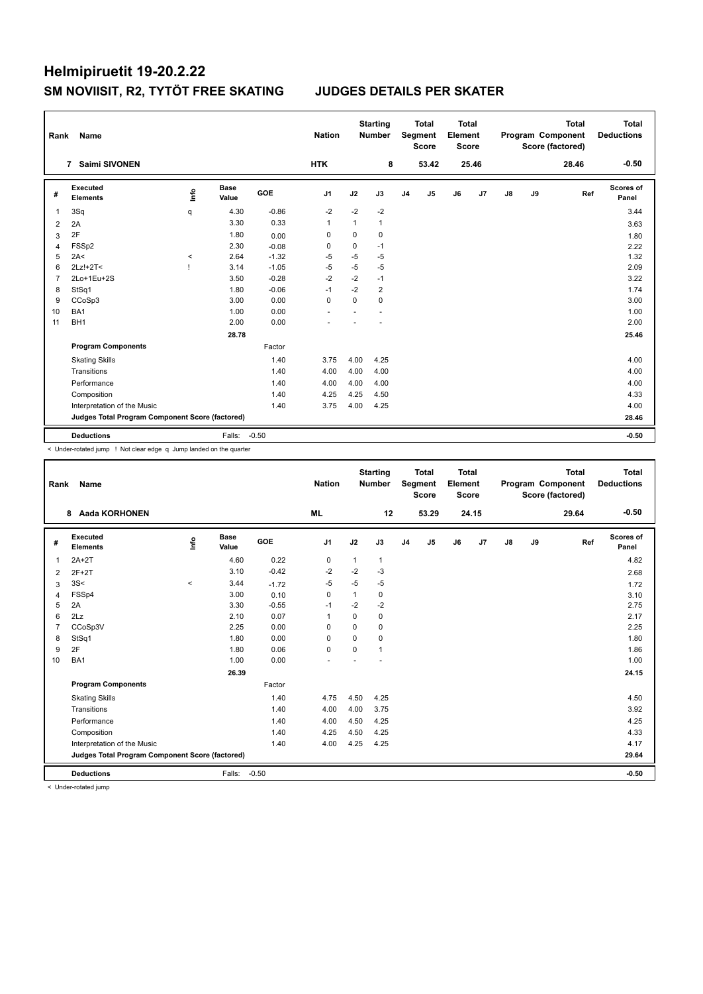| Rank           | Name                                            |         |                      |         | <b>Nation</b>  |              | <b>Starting</b><br><b>Number</b> |                | <b>Total</b><br>Segment<br><b>Score</b> | <b>Total</b><br>Element<br><b>Score</b> |       |               |    | <b>Total</b><br>Program Component<br>Score (factored) | <b>Total</b><br><b>Deductions</b> |
|----------------|-------------------------------------------------|---------|----------------------|---------|----------------|--------------|----------------------------------|----------------|-----------------------------------------|-----------------------------------------|-------|---------------|----|-------------------------------------------------------|-----------------------------------|
|                | <b>Saimi SIVONEN</b><br>7                       |         |                      |         | <b>HTK</b>     |              | 8                                |                | 53.42                                   |                                         | 25.46 |               |    | 28.46                                                 | $-0.50$                           |
| #              | Executed<br><b>Elements</b>                     | ۴       | <b>Base</b><br>Value | GOE     | J <sub>1</sub> | J2           | J3                               | J <sub>4</sub> | J <sub>5</sub>                          | J6                                      | J7    | $\mathsf{J}8$ | J9 | Ref                                                   | Scores of<br>Panel                |
| 1              | 3Sq                                             | q       | 4.30                 | $-0.86$ | $-2$           | $-2$         | $-2$                             |                |                                         |                                         |       |               |    |                                                       | 3.44                              |
| $\overline{2}$ | 2A                                              |         | 3.30                 | 0.33    | $\mathbf{1}$   | $\mathbf{1}$ | $\mathbf{1}$                     |                |                                         |                                         |       |               |    |                                                       | 3.63                              |
| 3              | 2F                                              |         | 1.80                 | 0.00    | 0              | 0            | 0                                |                |                                         |                                         |       |               |    |                                                       | 1.80                              |
| 4              | FSS <sub>p2</sub>                               |         | 2.30                 | $-0.08$ | 0              | $\mathbf 0$  | $-1$                             |                |                                         |                                         |       |               |    |                                                       | 2.22                              |
| 5              | 2A<                                             | $\,<\,$ | 2.64                 | $-1.32$ | $-5$           | $-5$         | $-5$                             |                |                                         |                                         |       |               |    |                                                       | 1.32                              |
| 6              | 2Lz!+2T<                                        | -1      | 3.14                 | $-1.05$ | $-5$           | $-5$         | $-5$                             |                |                                         |                                         |       |               |    |                                                       | 2.09                              |
| $\overline{7}$ | 2Lo+1Eu+2S                                      |         | 3.50                 | $-0.28$ | $-2$           | $-2$         | $-1$                             |                |                                         |                                         |       |               |    |                                                       | 3.22                              |
| 8              | StSq1                                           |         | 1.80                 | $-0.06$ | $-1$           | $-2$         | $\overline{2}$                   |                |                                         |                                         |       |               |    |                                                       | 1.74                              |
| 9              | CCoSp3                                          |         | 3.00                 | 0.00    | $\mathbf 0$    | $\Omega$     | $\mathbf 0$                      |                |                                         |                                         |       |               |    |                                                       | 3.00                              |
| 10             | BA <sub>1</sub>                                 |         | 1.00                 | 0.00    |                |              |                                  |                |                                         |                                         |       |               |    |                                                       | 1.00                              |
| 11             | BH <sub>1</sub>                                 |         | 2.00                 | 0.00    |                |              |                                  |                |                                         |                                         |       |               |    |                                                       | 2.00                              |
|                |                                                 |         | 28.78                |         |                |              |                                  |                |                                         |                                         |       |               |    |                                                       | 25.46                             |
|                | <b>Program Components</b>                       |         |                      | Factor  |                |              |                                  |                |                                         |                                         |       |               |    |                                                       |                                   |
|                | <b>Skating Skills</b>                           |         |                      | 1.40    | 3.75           | 4.00         | 4.25                             |                |                                         |                                         |       |               |    |                                                       | 4.00                              |
|                | Transitions                                     |         |                      | 1.40    | 4.00           | 4.00         | 4.00                             |                |                                         |                                         |       |               |    |                                                       | 4.00                              |
|                | Performance                                     |         |                      | 1.40    | 4.00           | 4.00         | 4.00                             |                |                                         |                                         |       |               |    |                                                       | 4.00                              |
|                | Composition                                     |         |                      | 1.40    | 4.25           | 4.25         | 4.50                             |                |                                         |                                         |       |               |    |                                                       | 4.33                              |
|                | Interpretation of the Music                     |         |                      | 1.40    | 3.75           | 4.00         | 4.25                             |                |                                         |                                         |       |               |    |                                                       | 4.00                              |
|                | Judges Total Program Component Score (factored) |         |                      |         |                |              |                                  |                |                                         |                                         |       |               |    |                                                       | 28.46                             |
|                | <b>Deductions</b>                               |         | Falls:               | $-0.50$ |                |              |                                  |                |                                         |                                         |       |               |    |                                                       | $-0.50$                           |

< Under-rotated jump ! Not clear edge q Jump landed on the quarter

| Rank           | Name                                            |          |                      |         | <b>Nation</b>            |          | <b>Starting</b><br><b>Number</b> |                | <b>Total</b><br>Segment<br><b>Score</b> | <b>Total</b><br>Element<br><b>Score</b> |       |    |    | <b>Total</b><br>Program Component<br>Score (factored) | <b>Total</b><br><b>Deductions</b> |
|----------------|-------------------------------------------------|----------|----------------------|---------|--------------------------|----------|----------------------------------|----------------|-----------------------------------------|-----------------------------------------|-------|----|----|-------------------------------------------------------|-----------------------------------|
|                | <b>Aada KORHONEN</b><br>8                       |          |                      |         | <b>ML</b>                |          | 12                               |                | 53.29                                   |                                         | 24.15 |    |    | 29.64                                                 | $-0.50$                           |
| #              | Executed<br><b>Elements</b>                     | ١nf٥     | <b>Base</b><br>Value | GOE     | J1                       | J2       | J3                               | J <sub>4</sub> | J5                                      | J6                                      | J7    | J8 | J9 | Ref                                                   | Scores of<br>Panel                |
| $\mathbf{1}$   | $2A+2T$                                         |          | 4.60                 | 0.22    | $\pmb{0}$                | 1        | $\mathbf{1}$                     |                |                                         |                                         |       |    |    |                                                       | 4.82                              |
| 2              | $2F+2T$                                         |          | 3.10                 | $-0.42$ | $-2$                     | $-2$     | $-3$                             |                |                                         |                                         |       |    |    |                                                       | 2.68                              |
| 3              | 3S<                                             | $\hat{}$ | 3.44                 | $-1.72$ | $-5$                     | $-5$     | $-5$                             |                |                                         |                                         |       |    |    |                                                       | 1.72                              |
| $\overline{4}$ | FSSp4                                           |          | 3.00                 | 0.10    | $\mathbf 0$              | 1        | 0                                |                |                                         |                                         |       |    |    |                                                       | 3.10                              |
| 5              | 2A                                              |          | 3.30                 | $-0.55$ | $-1$                     | $-2$     | $-2$                             |                |                                         |                                         |       |    |    |                                                       | 2.75                              |
| 6              | 2Lz                                             |          | 2.10                 | 0.07    | $\mathbf{1}$             | 0        | 0                                |                |                                         |                                         |       |    |    |                                                       | 2.17                              |
| $\overline{7}$ | CCoSp3V                                         |          | 2.25                 | 0.00    | $\Omega$                 | $\Omega$ | 0                                |                |                                         |                                         |       |    |    |                                                       | 2.25                              |
| 8              | StSq1                                           |          | 1.80                 | 0.00    | $\Omega$                 | $\Omega$ | 0                                |                |                                         |                                         |       |    |    |                                                       | 1.80                              |
| 9              | 2F                                              |          | 1.80                 | 0.06    | $\mathbf 0$              | $\Omega$ | 1                                |                |                                         |                                         |       |    |    |                                                       | 1.86                              |
| 10             | BA1                                             |          | 1.00                 | 0.00    | $\overline{\phantom{a}}$ |          |                                  |                |                                         |                                         |       |    |    |                                                       | 1.00                              |
|                |                                                 |          | 26.39                |         |                          |          |                                  |                |                                         |                                         |       |    |    |                                                       | 24.15                             |
|                | <b>Program Components</b>                       |          |                      | Factor  |                          |          |                                  |                |                                         |                                         |       |    |    |                                                       |                                   |
|                | <b>Skating Skills</b>                           |          |                      | 1.40    | 4.75                     | 4.50     | 4.25                             |                |                                         |                                         |       |    |    |                                                       | 4.50                              |
|                | Transitions                                     |          |                      | 1.40    | 4.00                     | 4.00     | 3.75                             |                |                                         |                                         |       |    |    |                                                       | 3.92                              |
|                | Performance                                     |          |                      | 1.40    | 4.00                     | 4.50     | 4.25                             |                |                                         |                                         |       |    |    |                                                       | 4.25                              |
|                | Composition                                     |          |                      | 1.40    | 4.25                     | 4.50     | 4.25                             |                |                                         |                                         |       |    |    |                                                       | 4.33                              |
|                | Interpretation of the Music                     |          |                      | 1.40    | 4.00                     | 4.25     | 4.25                             |                |                                         |                                         |       |    |    |                                                       | 4.17                              |
|                | Judges Total Program Component Score (factored) |          |                      |         |                          |          |                                  |                |                                         |                                         |       |    |    |                                                       | 29.64                             |
|                | <b>Deductions</b>                               |          | Falls:               | $-0.50$ |                          |          |                                  |                |                                         |                                         |       |    |    |                                                       | $-0.50$                           |

< Under-rotated jump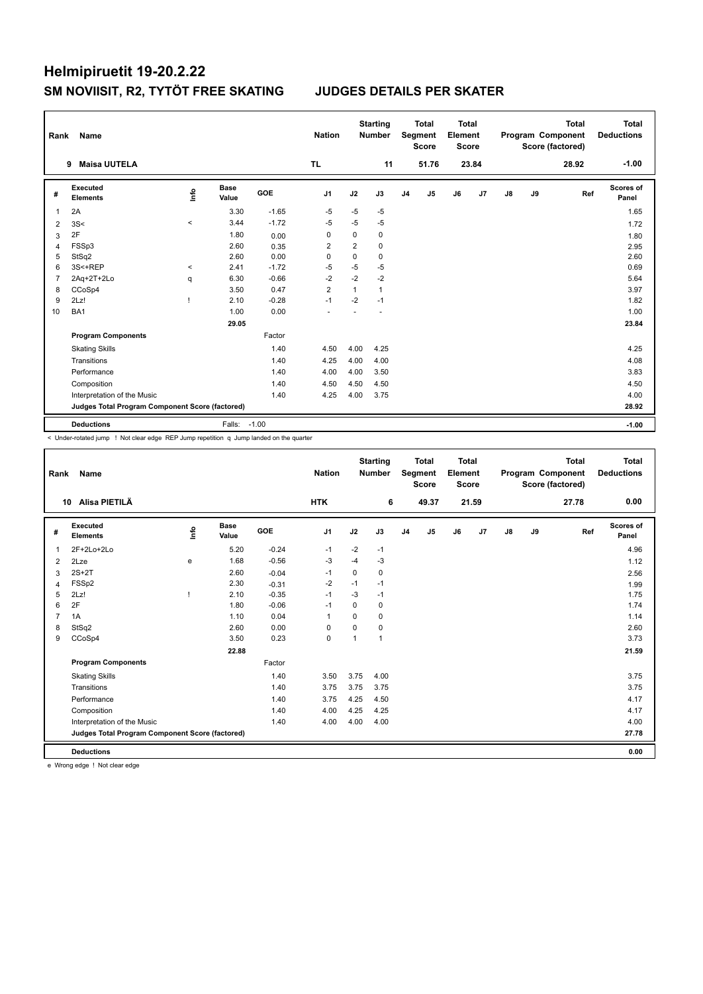| Rank           | Name                                            |                     |                      |            | <b>Nation</b>  |                | <b>Starting</b><br><b>Number</b> |                | <b>Total</b><br>Segment<br><b>Score</b> | <b>Total</b><br>Element<br>Score |       |    |    | <b>Total</b><br>Program Component<br>Score (factored) | Total<br><b>Deductions</b> |
|----------------|-------------------------------------------------|---------------------|----------------------|------------|----------------|----------------|----------------------------------|----------------|-----------------------------------------|----------------------------------|-------|----|----|-------------------------------------------------------|----------------------------|
|                | <b>Maisa UUTELA</b><br>9                        |                     |                      |            | TL.            |                | 11                               |                | 51.76                                   |                                  | 23.84 |    |    | 28.92                                                 | $-1.00$                    |
| #              | <b>Executed</b><br><b>Elements</b>              | lnfo                | <b>Base</b><br>Value | <b>GOE</b> | J <sub>1</sub> | J2             | J3                               | J <sub>4</sub> | J <sub>5</sub>                          | J6                               | J7    | J8 | J9 | Ref                                                   | Scores of<br>Panel         |
| 1              | 2A                                              |                     | 3.30                 | $-1.65$    | $-5$           | $-5$           | $-5$                             |                |                                         |                                  |       |    |    |                                                       | 1.65                       |
| 2              | 3S<                                             | $\prec$             | 3.44                 | $-1.72$    | $-5$           | $-5$           | $-5$                             |                |                                         |                                  |       |    |    |                                                       | 1.72                       |
| 3              | 2F                                              |                     | 1.80                 | 0.00       | 0              | $\mathbf 0$    | 0                                |                |                                         |                                  |       |    |    |                                                       | 1.80                       |
| 4              | FSSp3                                           |                     | 2.60                 | 0.35       | 2              | $\overline{2}$ | $\mathbf 0$                      |                |                                         |                                  |       |    |    |                                                       | 2.95                       |
| 5              | StSq2                                           |                     | 2.60                 | 0.00       | $\Omega$       | $\Omega$       | 0                                |                |                                         |                                  |       |    |    |                                                       | 2.60                       |
| 6              | 3S<+REP                                         | $\hat{\phantom{a}}$ | 2.41                 | $-1.72$    | $-5$           | $-5$           | $-5$                             |                |                                         |                                  |       |    |    |                                                       | 0.69                       |
| $\overline{7}$ | 2Aq+2T+2Lo                                      | q                   | 6.30                 | $-0.66$    | $-2$           | $-2$           | $-2$                             |                |                                         |                                  |       |    |    |                                                       | 5.64                       |
| 8              | CCoSp4                                          |                     | 3.50                 | 0.47       | 2              | 1              | $\mathbf{1}$                     |                |                                         |                                  |       |    |    |                                                       | 3.97                       |
| 9              | 2Lz!                                            | ı                   | 2.10                 | $-0.28$    | $-1$           | $-2$           | $-1$                             |                |                                         |                                  |       |    |    |                                                       | 1.82                       |
| 10             | BA <sub>1</sub>                                 |                     | 1.00                 | 0.00       |                |                |                                  |                |                                         |                                  |       |    |    |                                                       | 1.00                       |
|                |                                                 |                     | 29.05                |            |                |                |                                  |                |                                         |                                  |       |    |    |                                                       | 23.84                      |
|                | <b>Program Components</b>                       |                     |                      | Factor     |                |                |                                  |                |                                         |                                  |       |    |    |                                                       |                            |
|                | <b>Skating Skills</b>                           |                     |                      | 1.40       | 4.50           | 4.00           | 4.25                             |                |                                         |                                  |       |    |    |                                                       | 4.25                       |
|                | Transitions                                     |                     |                      | 1.40       | 4.25           | 4.00           | 4.00                             |                |                                         |                                  |       |    |    |                                                       | 4.08                       |
|                | Performance                                     |                     |                      | 1.40       | 4.00           | 4.00           | 3.50                             |                |                                         |                                  |       |    |    |                                                       | 3.83                       |
|                | Composition                                     |                     |                      | 1.40       | 4.50           | 4.50           | 4.50                             |                |                                         |                                  |       |    |    |                                                       | 4.50                       |
|                | Interpretation of the Music                     |                     |                      | 1.40       | 4.25           | 4.00           | 3.75                             |                |                                         |                                  |       |    |    |                                                       | 4.00                       |
|                | Judges Total Program Component Score (factored) |                     |                      |            |                |                |                                  |                |                                         |                                  |       |    |    |                                                       | 28.92                      |
|                | <b>Deductions</b>                               |                     | Falls:               | $-1.00$    |                |                |                                  |                |                                         |                                  |       |    |    |                                                       | $-1.00$                    |

< Under-rotated jump ! Not clear edge REP Jump repetition q Jump landed on the quarter

| Alisa PIETILÄ<br><b>HTK</b><br>6<br>49.37<br>21.59<br>10<br><b>Executed</b><br><b>Base</b><br>lnfo<br>GOE<br>J <sub>1</sub><br>J2<br>J5<br>J6<br>J7<br>J8<br>#<br>J3<br>J <sub>4</sub><br><b>Elements</b><br>Value<br>$-2$<br>2F+2Lo+2Lo<br>5.20<br>$-0.24$<br>$-1$<br>$-1$<br>$\overline{1}$<br>$-0.56$<br>1.68<br>-3<br>-4<br>$-3$<br>2Lze<br>e<br>2<br>$2S+2T$<br>2.60<br>0<br>0<br>$-1$<br>3<br>$-0.04$ | <b>Total</b><br>Total<br>Program Component<br><b>Deductions</b><br>Score (factored) |
|-------------------------------------------------------------------------------------------------------------------------------------------------------------------------------------------------------------------------------------------------------------------------------------------------------------------------------------------------------------------------------------------------------------|-------------------------------------------------------------------------------------|
|                                                                                                                                                                                                                                                                                                                                                                                                             | 0.00<br>27.78                                                                       |
|                                                                                                                                                                                                                                                                                                                                                                                                             | <b>Scores of</b><br>J9<br>Ref<br>Panel                                              |
|                                                                                                                                                                                                                                                                                                                                                                                                             | 4.96                                                                                |
|                                                                                                                                                                                                                                                                                                                                                                                                             | 1.12                                                                                |
|                                                                                                                                                                                                                                                                                                                                                                                                             | 2.56                                                                                |
| FSSp2<br>2.30<br>$-2$<br>$-1$<br>$-1$<br>$-0.31$<br>4                                                                                                                                                                                                                                                                                                                                                       | 1.99                                                                                |
| 5<br>2Lz!<br>2.10<br>$-0.35$<br>$-3$<br>$-1$<br>$-1$                                                                                                                                                                                                                                                                                                                                                        | 1.75                                                                                |
| 2F<br>$-0.06$<br>1.80<br>6<br>$-1$<br>$\Omega$<br>0                                                                                                                                                                                                                                                                                                                                                         | 1.74                                                                                |
| $\overline{7}$<br>1A<br>1.10<br>0.04<br>$\Omega$<br>0<br>1                                                                                                                                                                                                                                                                                                                                                  | 1.14                                                                                |
| StSq2<br>2.60<br>0.00<br>$\Omega$<br>0<br>0<br>8                                                                                                                                                                                                                                                                                                                                                            | 2.60                                                                                |
| CCoSp4<br>0.23<br>0<br>9<br>3.50<br>$\mathbf{1}$<br>$\overline{\mathbf{1}}$                                                                                                                                                                                                                                                                                                                                 | 3.73                                                                                |
| 22.88                                                                                                                                                                                                                                                                                                                                                                                                       | 21.59                                                                               |
| Factor<br><b>Program Components</b>                                                                                                                                                                                                                                                                                                                                                                         |                                                                                     |
| 1.40<br>3.50<br>3.75<br><b>Skating Skills</b><br>4.00                                                                                                                                                                                                                                                                                                                                                       | 3.75                                                                                |
| 1.40<br>3.75<br>Transitions<br>3.75<br>3.75                                                                                                                                                                                                                                                                                                                                                                 | 3.75                                                                                |
| Performance<br>1.40<br>3.75<br>4.25<br>4.50                                                                                                                                                                                                                                                                                                                                                                 | 4.17                                                                                |
| 1.40<br>4.00<br>4.25<br>4.25<br>Composition                                                                                                                                                                                                                                                                                                                                                                 | 4.17                                                                                |
| 1.40<br>Interpretation of the Music<br>4.00<br>4.00<br>4.00                                                                                                                                                                                                                                                                                                                                                 | 4.00                                                                                |
| Judges Total Program Component Score (factored)                                                                                                                                                                                                                                                                                                                                                             | 27.78                                                                               |
| <b>Deductions</b>                                                                                                                                                                                                                                                                                                                                                                                           | 0.00                                                                                |

e Wrong edge ! Not clear edge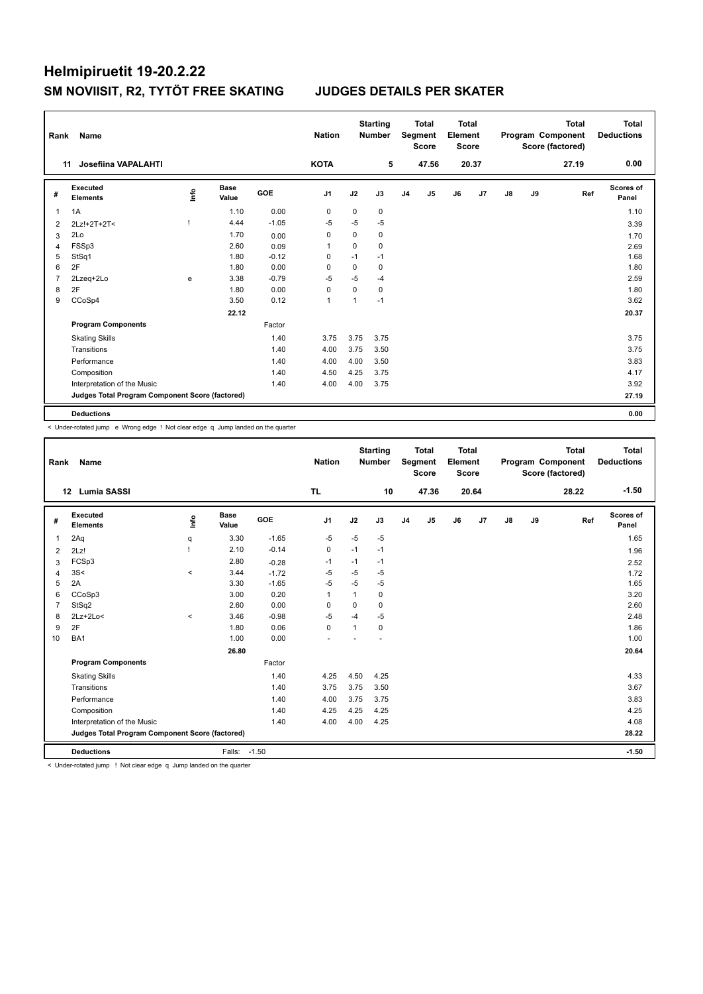| Rank           | Name                                            |    |                      |         | <b>Nation</b>  |             | <b>Starting</b><br><b>Number</b> |                | <b>Total</b><br>Segment<br><b>Score</b> | <b>Total</b><br>Element<br><b>Score</b> |       |               |    | <b>Total</b><br>Program Component<br>Score (factored) | <b>Total</b><br><b>Deductions</b> |
|----------------|-------------------------------------------------|----|----------------------|---------|----------------|-------------|----------------------------------|----------------|-----------------------------------------|-----------------------------------------|-------|---------------|----|-------------------------------------------------------|-----------------------------------|
|                | <b>Josefiina VAPALAHTI</b><br>11                |    |                      |         | <b>KOTA</b>    |             | 5                                |                | 47.56                                   |                                         | 20.37 |               |    | 27.19                                                 | 0.00                              |
| #              | <b>Executed</b><br><b>Elements</b>              | ۴ů | <b>Base</b><br>Value | GOE     | J <sub>1</sub> | J2          | J3                               | J <sub>4</sub> | J <sub>5</sub>                          | J6                                      | J7    | $\mathsf{J}8$ | J9 | Ref                                                   | <b>Scores of</b><br>Panel         |
| 1              | 1A                                              |    | 1.10                 | 0.00    | 0              | 0           | 0                                |                |                                         |                                         |       |               |    |                                                       | 1.10                              |
| 2              | 2Lz!+2T+2T<                                     |    | 4.44                 | $-1.05$ | $-5$           | $-5$        | $-5$                             |                |                                         |                                         |       |               |    |                                                       | 3.39                              |
| 3              | 2Lo                                             |    | 1.70                 | 0.00    | 0              | $\Omega$    | 0                                |                |                                         |                                         |       |               |    |                                                       | 1.70                              |
| $\overline{4}$ | FSSp3                                           |    | 2.60                 | 0.09    | -1             | $\mathbf 0$ | $\mathbf 0$                      |                |                                         |                                         |       |               |    |                                                       | 2.69                              |
| 5              | StSq1                                           |    | 1.80                 | $-0.12$ | $\Omega$       | $-1$        | $-1$                             |                |                                         |                                         |       |               |    |                                                       | 1.68                              |
| 6              | 2F                                              |    | 1.80                 | 0.00    | $\Omega$       | 0           | 0                                |                |                                         |                                         |       |               |    |                                                       | 1.80                              |
| 7              | 2Lzeg+2Lo                                       | e  | 3.38                 | $-0.79$ | $-5$           | $-5$        | $-4$                             |                |                                         |                                         |       |               |    |                                                       | 2.59                              |
| 8              | 2F                                              |    | 1.80                 | 0.00    | 0              | $\Omega$    | 0                                |                |                                         |                                         |       |               |    |                                                       | 1.80                              |
| 9              | CCoSp4                                          |    | 3.50                 | 0.12    | $\overline{1}$ | 1           | $-1$                             |                |                                         |                                         |       |               |    |                                                       | 3.62                              |
|                |                                                 |    | 22.12                |         |                |             |                                  |                |                                         |                                         |       |               |    |                                                       | 20.37                             |
|                | <b>Program Components</b>                       |    |                      | Factor  |                |             |                                  |                |                                         |                                         |       |               |    |                                                       |                                   |
|                | <b>Skating Skills</b>                           |    |                      | 1.40    | 3.75           | 3.75        | 3.75                             |                |                                         |                                         |       |               |    |                                                       | 3.75                              |
|                | Transitions                                     |    |                      | 1.40    | 4.00           | 3.75        | 3.50                             |                |                                         |                                         |       |               |    |                                                       | 3.75                              |
|                | Performance                                     |    |                      | 1.40    | 4.00           | 4.00        | 3.50                             |                |                                         |                                         |       |               |    |                                                       | 3.83                              |
|                | Composition                                     |    |                      | 1.40    | 4.50           | 4.25        | 3.75                             |                |                                         |                                         |       |               |    |                                                       | 4.17                              |
|                | Interpretation of the Music                     |    |                      | 1.40    | 4.00           | 4.00        | 3.75                             |                |                                         |                                         |       |               |    |                                                       | 3.92                              |
|                | Judges Total Program Component Score (factored) |    |                      |         |                |             |                                  |                |                                         |                                         |       |               |    |                                                       | 27.19                             |
|                | <b>Deductions</b>                               |    |                      |         |                |             |                                  |                |                                         |                                         |       |               |    |                                                       | 0.00                              |

< Under-rotated jump e Wrong edge ! Not clear edge q Jump landed on the quarter

| Rank           | Name                                                                                                        |          |                      |            | <b>Nation</b>  |              | <b>Starting</b><br><b>Number</b> |                | <b>Total</b><br>Segment<br><b>Score</b> | <b>Total</b><br>Element<br><b>Score</b> |       |               |    | <b>Total</b><br>Program Component<br>Score (factored) | <b>Total</b><br><b>Deductions</b> |
|----------------|-------------------------------------------------------------------------------------------------------------|----------|----------------------|------------|----------------|--------------|----------------------------------|----------------|-----------------------------------------|-----------------------------------------|-------|---------------|----|-------------------------------------------------------|-----------------------------------|
|                | Lumia SASSI<br>12 <sup>12</sup>                                                                             |          |                      |            | <b>TL</b>      |              | 10                               |                | 47.36                                   |                                         | 20.64 |               |    | 28.22                                                 | $-1.50$                           |
| #              | Executed<br><b>Elements</b>                                                                                 | lnfo     | <b>Base</b><br>Value | <b>GOE</b> | J <sub>1</sub> | J2           | J3                               | J <sub>4</sub> | J5                                      | J6                                      | J7    | $\mathsf{J}8$ | J9 | Ref                                                   | Scores of<br>Panel                |
| 1              | 2Aq                                                                                                         | q        | 3.30                 | $-1.65$    | $-5$           | $-5$         | $-5$                             |                |                                         |                                         |       |               |    |                                                       | 1.65                              |
| 2              | 2Lz!                                                                                                        |          | 2.10                 | $-0.14$    | 0              | $-1$         | $-1$                             |                |                                         |                                         |       |               |    |                                                       | 1.96                              |
| 3              | FCSp3                                                                                                       |          | 2.80                 | $-0.28$    | $-1$           | $-1$         | $-1$                             |                |                                         |                                         |       |               |    |                                                       | 2.52                              |
| 4              | 3S<                                                                                                         | $\prec$  | 3.44                 | $-1.72$    | $-5$           | $-5$         | $-5$                             |                |                                         |                                         |       |               |    |                                                       | 1.72                              |
| 5              | 2A                                                                                                          |          | 3.30                 | $-1.65$    | $-5$           | $-5$         | $-5$                             |                |                                         |                                         |       |               |    |                                                       | 1.65                              |
| 6              | CCoSp3                                                                                                      |          | 3.00                 | 0.20       | $\overline{1}$ | $\mathbf{1}$ | 0                                |                |                                         |                                         |       |               |    |                                                       | 3.20                              |
| $\overline{7}$ | StSq2                                                                                                       |          | 2.60                 | 0.00       | 0              | 0            | 0                                |                |                                         |                                         |       |               |    |                                                       | 2.60                              |
| 8              | $2Lz+2Lo<$                                                                                                  | $\hat{}$ | 3.46                 | $-0.98$    | $-5$           | -4           | $-5$                             |                |                                         |                                         |       |               |    |                                                       | 2.48                              |
| 9              | 2F                                                                                                          |          | 1.80                 | 0.06       | $\mathbf 0$    | 1            | 0                                |                |                                         |                                         |       |               |    |                                                       | 1.86                              |
| 10             | BA <sub>1</sub>                                                                                             |          | 1.00                 | 0.00       |                |              |                                  |                |                                         |                                         |       |               |    |                                                       | 1.00                              |
|                |                                                                                                             |          | 26.80                |            |                |              |                                  |                |                                         |                                         |       |               |    |                                                       | 20.64                             |
|                | <b>Program Components</b>                                                                                   |          |                      | Factor     |                |              |                                  |                |                                         |                                         |       |               |    |                                                       |                                   |
|                | <b>Skating Skills</b>                                                                                       |          |                      | 1.40       | 4.25           | 4.50         | 4.25                             |                |                                         |                                         |       |               |    |                                                       | 4.33                              |
|                | Transitions                                                                                                 |          |                      | 1.40       | 3.75           | 3.75         | 3.50                             |                |                                         |                                         |       |               |    |                                                       | 3.67                              |
|                | Performance                                                                                                 |          |                      | 1.40       | 4.00           | 3.75         | 3.75                             |                |                                         |                                         |       |               |    |                                                       | 3.83                              |
|                | Composition                                                                                                 |          |                      | 1.40       | 4.25           | 4.25         | 4.25                             |                |                                         |                                         |       |               |    |                                                       | 4.25                              |
|                | Interpretation of the Music                                                                                 |          |                      | 1.40       | 4.00           | 4.00         | 4.25                             |                |                                         |                                         |       |               |    |                                                       | 4.08                              |
|                | Judges Total Program Component Score (factored)                                                             |          |                      |            |                |              |                                  |                |                                         |                                         |       |               |    |                                                       | 28.22                             |
|                |                                                                                                             |          |                      |            |                |              |                                  |                |                                         |                                         |       |               |    |                                                       |                                   |
|                | <b>Deductions</b><br>index restated in a substitute to a series of the second conduction of the constant of |          | Falls: -1.50         |            |                |              |                                  |                |                                         |                                         |       |               |    |                                                       | $-1.50$                           |

< Under-rotated jump ! Not clear edge q Jump landed on the quarter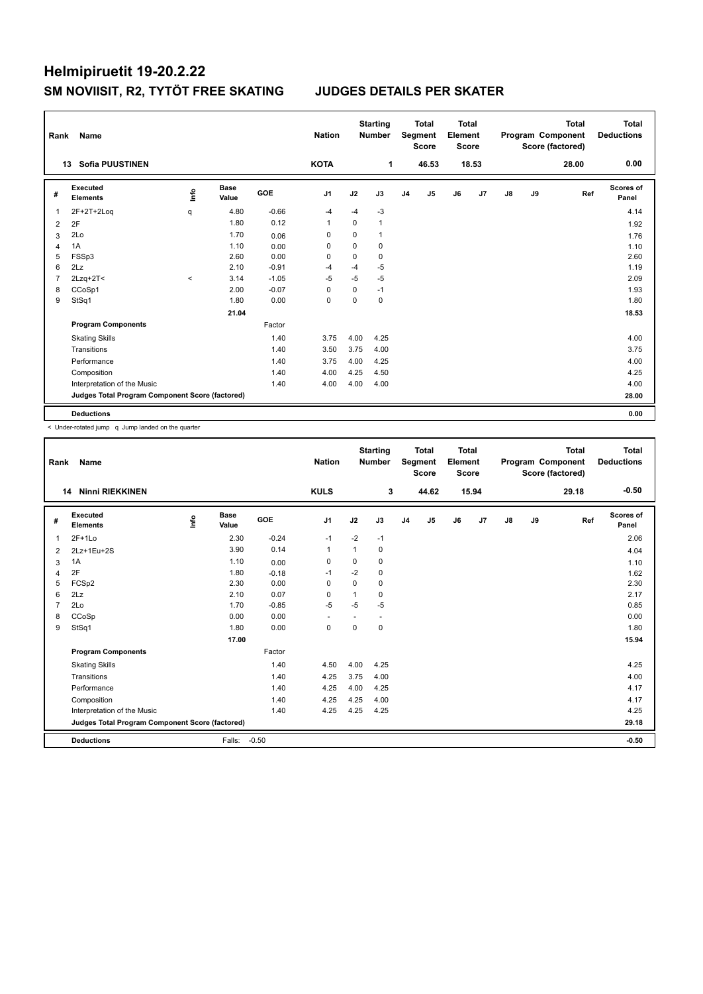| Rank           | Name                                            |         |                      |         | <b>Nation</b>  |             | <b>Starting</b><br><b>Number</b> |                | <b>Total</b><br>Segment<br><b>Score</b> | <b>Total</b><br>Element<br><b>Score</b> |       |               |    | <b>Total</b><br>Program Component<br>Score (factored) | <b>Total</b><br><b>Deductions</b> |
|----------------|-------------------------------------------------|---------|----------------------|---------|----------------|-------------|----------------------------------|----------------|-----------------------------------------|-----------------------------------------|-------|---------------|----|-------------------------------------------------------|-----------------------------------|
|                | <b>Sofia PUUSTINEN</b><br>13                    |         |                      |         | <b>KOTA</b>    |             | 1                                |                | 46.53                                   |                                         | 18.53 |               |    | 28.00                                                 | 0.00                              |
| #              | Executed<br><b>Elements</b>                     | ۴ů      | <b>Base</b><br>Value | GOE     | J <sub>1</sub> | J2          | J3                               | J <sub>4</sub> | J <sub>5</sub>                          | J6                                      | J7    | $\mathsf{J}8$ | J9 | Ref                                                   | <b>Scores of</b><br>Panel         |
| 1              | 2F+2T+2Loq                                      | q       | 4.80                 | $-0.66$ | $-4$           | $-4$        | $-3$                             |                |                                         |                                         |       |               |    |                                                       | 4.14                              |
| 2              | 2F                                              |         | 1.80                 | 0.12    | $\mathbf 1$    | $\Omega$    | 1                                |                |                                         |                                         |       |               |    |                                                       | 1.92                              |
| 3              | 2Lo                                             |         | 1.70                 | 0.06    | 0              | $\Omega$    | 1                                |                |                                         |                                         |       |               |    |                                                       | 1.76                              |
| $\overline{4}$ | 1A                                              |         | 1.10                 | 0.00    | 0              | $\mathbf 0$ | $\mathbf 0$                      |                |                                         |                                         |       |               |    |                                                       | 1.10                              |
| 5              | FSSp3                                           |         | 2.60                 | 0.00    | $\Omega$       | 0           | 0                                |                |                                         |                                         |       |               |    |                                                       | 2.60                              |
| 6              | 2Lz                                             |         | 2.10                 | $-0.91$ | $-4$           | $-4$        | $-5$                             |                |                                         |                                         |       |               |    |                                                       | 1.19                              |
| 7              | $2Lzq+2T<$                                      | $\prec$ | 3.14                 | $-1.05$ | $-5$           | $-5$        | $-5$                             |                |                                         |                                         |       |               |    |                                                       | 2.09                              |
| 8              | CCoSp1                                          |         | 2.00                 | $-0.07$ | $\Omega$       | 0           | $-1$                             |                |                                         |                                         |       |               |    |                                                       | 1.93                              |
| 9              | StSq1                                           |         | 1.80                 | 0.00    | $\mathbf 0$    | $\mathbf 0$ | 0                                |                |                                         |                                         |       |               |    |                                                       | 1.80                              |
|                |                                                 |         | 21.04                |         |                |             |                                  |                |                                         |                                         |       |               |    |                                                       | 18.53                             |
|                | <b>Program Components</b>                       |         |                      | Factor  |                |             |                                  |                |                                         |                                         |       |               |    |                                                       |                                   |
|                | <b>Skating Skills</b>                           |         |                      | 1.40    | 3.75           | 4.00        | 4.25                             |                |                                         |                                         |       |               |    |                                                       | 4.00                              |
|                | Transitions                                     |         |                      | 1.40    | 3.50           | 3.75        | 4.00                             |                |                                         |                                         |       |               |    |                                                       | 3.75                              |
|                | Performance                                     |         |                      | 1.40    | 3.75           | 4.00        | 4.25                             |                |                                         |                                         |       |               |    |                                                       | 4.00                              |
|                | Composition                                     |         |                      | 1.40    | 4.00           | 4.25        | 4.50                             |                |                                         |                                         |       |               |    |                                                       | 4.25                              |
|                | Interpretation of the Music                     |         |                      | 1.40    | 4.00           | 4.00        | 4.00                             |                |                                         |                                         |       |               |    |                                                       | 4.00                              |
|                | Judges Total Program Component Score (factored) |         |                      |         |                |             |                                  |                |                                         |                                         |       |               |    |                                                       | 28.00                             |
|                | <b>Deductions</b>                               |         |                      |         |                |             |                                  |                |                                         |                                         |       |               |    |                                                       | 0.00                              |

< Under-rotated jump q Jump landed on the quarter

| Rank           | Name                                            |      |                      |         | <b>Nation</b>            |              | <b>Starting</b><br><b>Number</b> |                | <b>Total</b><br><b>Segment</b><br><b>Score</b> | <b>Total</b><br>Element<br><b>Score</b> |       |               |    | <b>Total</b><br>Program Component<br>Score (factored) | <b>Total</b><br><b>Deductions</b> |
|----------------|-------------------------------------------------|------|----------------------|---------|--------------------------|--------------|----------------------------------|----------------|------------------------------------------------|-----------------------------------------|-------|---------------|----|-------------------------------------------------------|-----------------------------------|
|                | <b>Ninni RIEKKINEN</b><br>14                    |      |                      |         | <b>KULS</b>              |              | 3                                |                | 44.62                                          |                                         | 15.94 |               |    | 29.18                                                 | $-0.50$                           |
| #              | Executed<br><b>Elements</b>                     | lnfo | <b>Base</b><br>Value | GOE     | J <sub>1</sub>           | J2           | J3                               | J <sub>4</sub> | J5                                             | J6                                      | J7    | $\mathsf{J}8$ | J9 | Ref                                                   | <b>Scores of</b><br>Panel         |
| 1              | $2F+1Lo$                                        |      | 2.30                 | $-0.24$ | $-1$                     | $-2$         | $-1$                             |                |                                                |                                         |       |               |    |                                                       | 2.06                              |
| $\overline{2}$ | 2Lz+1Eu+2S                                      |      | 3.90                 | 0.14    | $\overline{1}$           | $\mathbf{1}$ | 0                                |                |                                                |                                         |       |               |    |                                                       | 4.04                              |
| 3              | 1A                                              |      | 1.10                 | 0.00    | 0                        | 0            | 0                                |                |                                                |                                         |       |               |    |                                                       | 1.10                              |
| 4              | 2F                                              |      | 1.80                 | $-0.18$ | $-1$                     | $-2$         | 0                                |                |                                                |                                         |       |               |    |                                                       | 1.62                              |
| 5              | FCSp2                                           |      | 2.30                 | 0.00    | $\Omega$                 | $\Omega$     | $\Omega$                         |                |                                                |                                         |       |               |    |                                                       | 2.30                              |
| 6              | 2Lz                                             |      | 2.10                 | 0.07    | $\Omega$                 | 1            | 0                                |                |                                                |                                         |       |               |    |                                                       | 2.17                              |
| $\overline{7}$ | 2Lo                                             |      | 1.70                 | $-0.85$ | $-5$                     | $-5$         | $-5$                             |                |                                                |                                         |       |               |    |                                                       | 0.85                              |
| 8              | CCoSp                                           |      | 0.00                 | 0.00    | $\overline{\phantom{a}}$ |              | $\overline{\phantom{a}}$         |                |                                                |                                         |       |               |    |                                                       | 0.00                              |
| 9              | StSq1                                           |      | 1.80                 | 0.00    | $\mathbf 0$              | $\Omega$     | 0                                |                |                                                |                                         |       |               |    |                                                       | 1.80                              |
|                |                                                 |      | 17.00                |         |                          |              |                                  |                |                                                |                                         |       |               |    |                                                       | 15.94                             |
|                | <b>Program Components</b>                       |      |                      | Factor  |                          |              |                                  |                |                                                |                                         |       |               |    |                                                       |                                   |
|                | <b>Skating Skills</b>                           |      |                      | 1.40    | 4.50                     | 4.00         | 4.25                             |                |                                                |                                         |       |               |    |                                                       | 4.25                              |
|                | Transitions                                     |      |                      | 1.40    | 4.25                     | 3.75         | 4.00                             |                |                                                |                                         |       |               |    |                                                       | 4.00                              |
|                | Performance                                     |      |                      | 1.40    | 4.25                     | 4.00         | 4.25                             |                |                                                |                                         |       |               |    |                                                       | 4.17                              |
|                | Composition                                     |      |                      | 1.40    | 4.25                     | 4.25         | 4.00                             |                |                                                |                                         |       |               |    |                                                       | 4.17                              |
|                | Interpretation of the Music                     |      |                      | 1.40    | 4.25                     | 4.25         | 4.25                             |                |                                                |                                         |       |               |    |                                                       | 4.25                              |
|                | Judges Total Program Component Score (factored) |      |                      |         |                          |              |                                  |                |                                                |                                         |       |               |    |                                                       | 29.18                             |
|                | <b>Deductions</b>                               |      | Falls:               | $-0.50$ |                          |              |                                  |                |                                                |                                         |       |               |    |                                                       | $-0.50$                           |